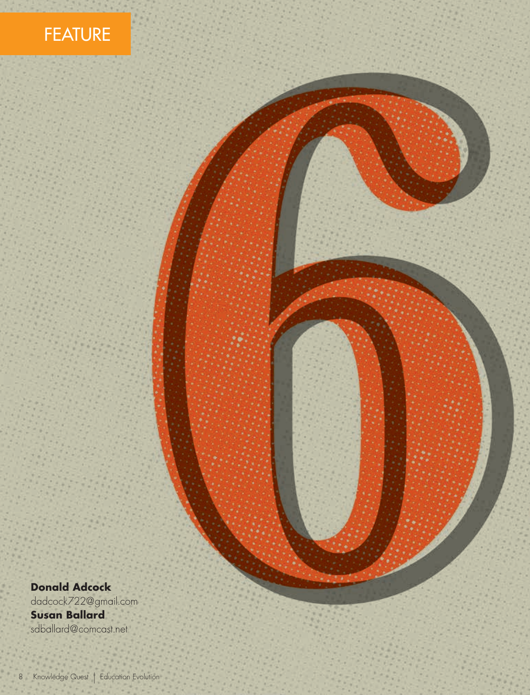



**Donald Adcock** dadcock722@gmail.com

**Susan Ballard** sdballard@comcast.net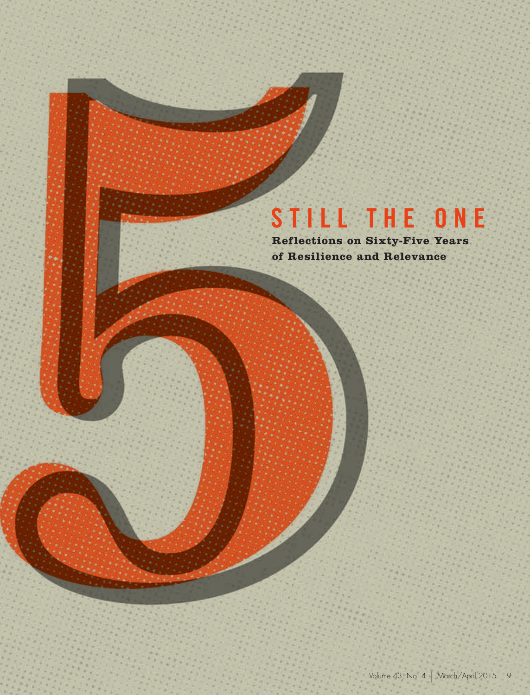# **STILL THE ONE**

**Reflections on Sixty-Five Years of Resilience and Relevance**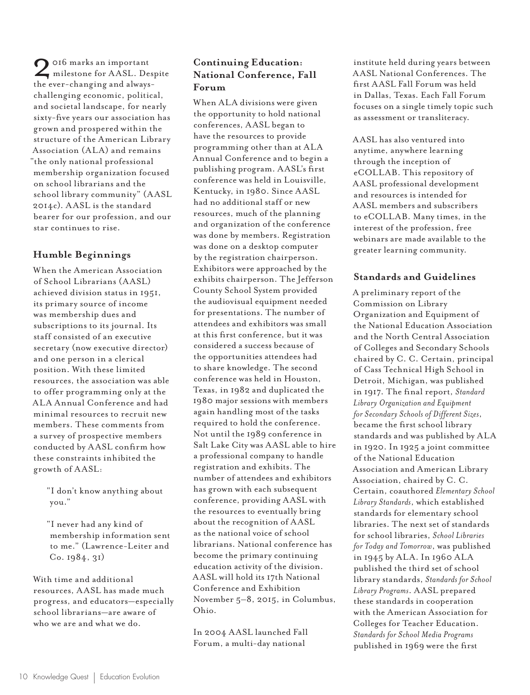2016 marks an important<br>milestone for AASL. Despite<br>the ever-changing and alwaysthe ever-changing and alwayschallenging economic, political, and societal landscape, for nearly sixty-five years our association has grown and prospered within the structure of the American Library Association (ALA) and remains "the only national professional membership organization focused on school librarians and the school library community" (AASL 2014c). A ASL is the standard bearer for our profession, and our star continues to rise.

# **Humble Beginnings**

When the American Association of School Librarians (A ASL) achieved division status in 1951, its primary source of income was membership dues and subscriptions to its journal. Its staff consisted of an executive secretary (now executive director) and one person in a clerical position. With these limited resources, the association was able to offer programming only at the ALA Annual Conference and had minimal resources to recruit new members. These comments from a survey of prospective members conducted by A ASL confirm how these constraints inhibited the growth of AASL:

"I don't know anything about you."

"I never had any kind of membership information sent to me." (Lawrence-Leiter and Co. 1984, 31)

With time and additional resources, A ASL has made much progress, and educators—especially school librarians—are aware of who we are and what we do.

# **Continuing Education: National Conference, Fall Forum**

When ALA divisions were given the opportunity to hold national conferences, AASL began to have the resources to provide programming other than at ALA Annual Conference and to begin a publishing program. AASL's first conference was held in Louisville, Kentucky, in 1980. Since AASL had no additional staff or new resources, much of the planning and organization of the conference was done by members. Registration was done on a desktop computer by the registration chairperson. Exhibitors were approached by the exhibits chairperson. The Jefferson County School System provided the audiovisual equipment needed for presentations. The number of attendees and exhibitors was small at this first conference, but it was considered a success because of the opportunities attendees had to share knowledge. The second conference was held in Houston, Texas, in 1982 and duplicated the 1980 major sessions with members again handling most of the tasks required to hold the conference. Not until the 1989 conference in Salt Lake City was AASL able to hire a professional company to handle registration and exhibits. The number of attendees and exhibitors has grown with each subsequent conference, providing AASL with the resources to eventually bring about the recognition of AASL as the national voice of school librarians. National conference has become the primary continuing education activity of the division. AASL will hold its 17th National Conference and Exhibition November 5–8, 2015, in Columbus, Ohio.

In 2004 AASL launched Fall Forum, a multi-day national

institute held during years between AASL National Conferences. The first AASL Fall Forum was held in Dallas, Texas. Each Fall Forum focuses on a single timely topic such as assessment or transliteracy.

AASL has also ventured into anytime, anywhere learning through the inception of eCOLLAB. This repository of AASL professional development and resources is intended for AASL members and subscribers to eCOLLAB. Many times, in the interest of the profession, free webinars are made available to the greater learning community.

#### **Standards and Guidelines**

A preliminary report of the Commission on Library Organization and Equipment of the National Education Association and the North Central Association of Colleges and Secondary Schools chaired by C. C. Certain, principal of Cass Technical High School in Detroit, Michigan, was published in 1917. The final report, *Standard Library Organization and Equipment for Secondary Schools of Different Sizes*, became the first school library standards and was published by ALA in 1920. In 1925 a joint committee of the National Education Association and American Library Association, chaired by C. C. Certain, coauthored *Elementary School Library Standards*, which established standards for elementary school libraries. The next set of standards for school libraries, *School Libraries for Today and Tomorrow*, was published in 1945 by ALA. In 1960 ALA published the third set of school library standards, *Standards for School Library Programs*. AASL prepared these standards in cooperation with the American Association for Colleges for Teacher Education. *Standards for School Media Programs* published in 1969 were the first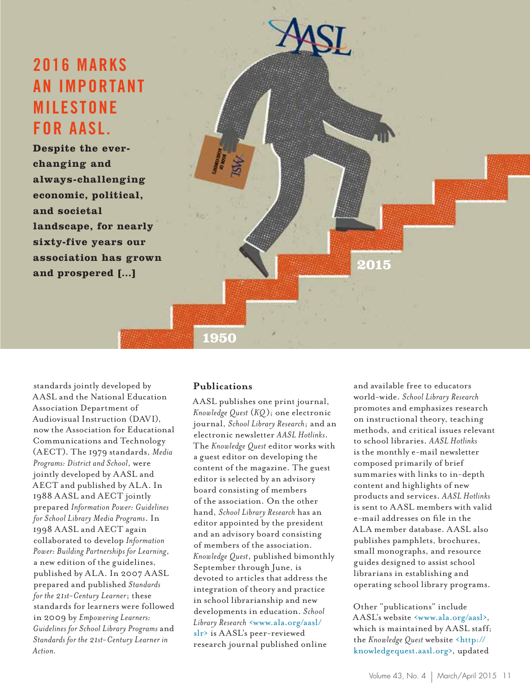# **2016 MARKS AN IMPORTANT MILESTONE FOR AASL.**

**Despite the everchanging and always-challenging economic, political, and societal landscape, for nearly sixty-five years our association has grown and prospered […]**



**1950**

standards jointly developed by AASL and the National Education Association Department of Audiovisual Instruction (DAVI), now the Association for Educational Communications and Technology (AECT). The 1979 standards, *Media Programs: District and School*, were jointly developed by AASL and AECT and published by ALA. In 1988 AASL and AECT jointly prepared *Information Power: Guidelines for School Library Media Programs*. In 1998 AASL and AECT again collaborated to develop *Information Power: Building Partnerships for Learning*, a new edition of the guidelines, published by ALA. In 2007 AASL prepared and published *Standards for the 21st-Century Learner*; these standards for learners were followed in 2009 by *Empowering Learners: Guidelines for School Library Programs* and *Standards for the 21st-Century Learner in Action.*

#### **Publications**

AASL publishes one print journal, *Knowledge Quest* (*KQ*); one electronic journal, *School Library Research*; and an electronic newsletter *AASL Hotlinks*. The *Knowledge Quest* editor works with a guest editor on developing the content of the magazine. The guest editor is selected by an advisory board consisting of members of the association. On the other hand, *School Library Research* has an editor appointed by the president and an advisory board consisting of members of the association. *Knowledge Quest*, published bimonthly September through June, is devoted to articles that address the integration of theory and practice in school librarianship and new developments in education. *School Library Research* <www.ala.org/aasl/ slr> is AASL's peer-reviewed research journal published online

and available free to educators world-wide. *School Library Research* promotes and emphasizes research on instructional theory, teaching methods, and critical issues relevant to school libraries. *AASL Hotlinks* is the monthly e-mail newsletter composed primarily of brief summaries with links to in-depth content and highlights of new products and services. *AASL Hotlinks* is sent to AASL members with valid e-mail addresses on file in the ALA member database. AASL also publishes pamphlets, brochures, small monographs, and resource guides designed to assist school librarians in establishing and operating school library programs.

Other "publications" include AASL's website <www.ala.org/aasl>, which is maintained by AASL staff; the *Knowledge Quest* website <http:// knowledgequest.aasl.org>, updated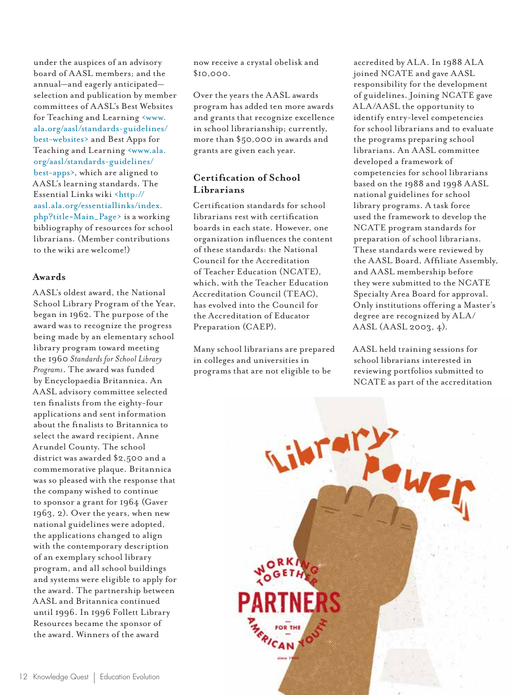under the auspices of an advisory board of AASL members; and the annual—and eagerly anticipated selection and publication by member committees of AASL's Best Websites for Teaching and Learning <www. ala.org/aasl/standards-guidelines/ best-websites> and Best Apps for Teaching and Learning <www.ala. org/aasl/standards-guidelines/ best-apps>, which are aligned to AASL's learning standards. The Essential Links wiki <http:// aasl.ala.org/essentiallinks/index. php?title=Main\_Page> is a working bibliography of resources for school librarians. (Member contributions to the wiki are welcome!)

#### **Awards**

AASL's oldest award, the National School Library Program of the Year, began in 1962. The purpose of the award was to recognize the progress being made by an elementary school library program toward meeting the 1960 *Standards for School Library Programs*. The award was funded by Encyclopaedia Britannica. An AASL advisory committee selected ten finalists from the eighty-four applications and sent information about the finalists to Britannica to select the award recipient, Anne Arundel County. The school district was awarded \$2,500 and a commemorative plaque. Britannica was so pleased with the response that the company wished to continue to sponsor a grant for 1964 (Gaver 1963, 2). Over the years, when new national guidelines were adopted, the applications changed to align with the contemporary description of an exemplary school library program, and all school buildings and systems were eligible to apply for the award. The partnership between AASL and Britannica continued until 1996. In 1996 Follett Library Resources became the sponsor of the award. Winners of the award

now receive a crystal obelisk and \$10,000.

Over the years the AASL awards program has added ten more awards and grants that recognize excellence in school librarianship; currently, more than \$50,000 in awards and grants are given each year.

# **Certification of School Librarians**

Certification standards for school librarians rest with certification boards in each state. However, one organization influences the content of these standards: the National Council for the Accreditation of Teacher Education (NCATE), which, with the Teacher Education Accreditation Council (TEAC), has evolved into the Council for the Accreditation of Educator Preparation (CAEP).

Many school librarians are prepared in colleges and universities in programs that are not eligible to be

accredited by ALA. In 1988 ALA joined NCATE and gave AASL responsibility for the development of guidelines. Joining NCATE gave ALA/AASL the opportunity to identify entry-level competencies for school librarians and to evaluate the programs preparing school librarians. An AASL committee developed a framework of competencies for school librarians based on the 1988 and 1998 AASL national guidelines for school library programs. A task force used the framework to develop the NCATE program standards for preparation of school librarians. These standards were reviewed by the AASL Board, Affiliate Assembly, and AASL membership before they were submitted to the NCATE Specialty Area Board for approval. Only institutions offering a Master's degree are recognized by ALA/ AASL (AASL 2003, 4).

AASL held training sessions for school librarians interested in reviewing portfolios submitted to NCATE as part of the accreditation

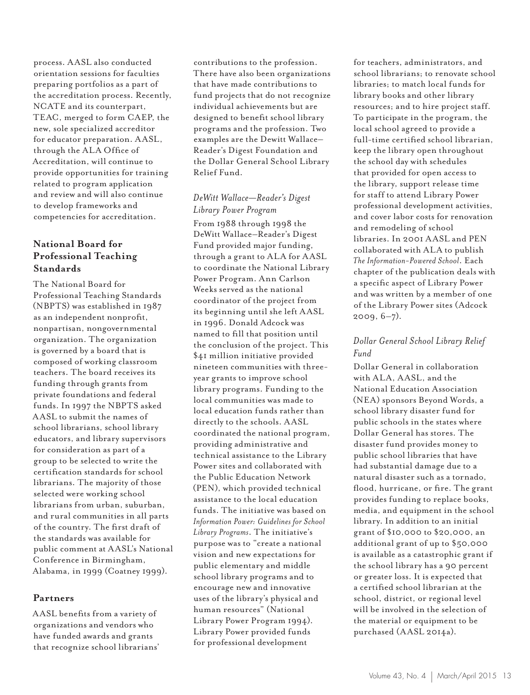process. AASL also conducted orientation sessions for faculties preparing portfolios as a part of the accreditation process. Recently, NCATE and its counterpart, TEAC, merged to form CAEP, the new, sole specialized accreditor for educator preparation. AASL, through the ALA Office of Accreditation, will continue to provide opportunities for training related to program application and review and will also continue to develop frameworks and competencies for accreditation.

# **National Board for Professional Teaching Standards**

The National Board for Professional Teaching Standards (NBPTS) was established in 1987 as an independent nonprofit, nonpartisan, nongovernmental organization. The organization is governed by a board that is composed of working classroom teachers. The board receives its funding through grants from private foundations and federal funds. In 1997 the NBPTS asked AASL to submit the names of school librarians, school library educators, and library supervisors for consideration as part of a group to be selected to write the certification standards for school librarians. The majority of those selected were working school librarians from urban, suburban, and rural communities in all parts of the country. The first draft of the standards was available for public comment at AASL's National Conference in Birmingham, Alabama, in 1999 (Coatney 1999).

#### **Partners**

AASL benefits from a variety of organizations and vendors who have funded awards and grants that recognize school librarians' contributions to the profession. There have also been organizations that have made contributions to fund projects that do not recognize individual achievements but are designed to benefit school library programs and the profession. Two examples are the Dewitt Wallace– Reader's Digest Foundation and the Dollar General School Library Relief Fund.

# *DeWitt Wallace—Reader's Digest Library Power Program*

From 1988 through 1998 the DeWitt Wallace–Reader's Digest Fund provided major funding, through a grant to ALA for AASL to coordinate the National Library Power Program. Ann Carlson Weeks served as the national coordinator of the project from its beginning until she left AASL in 1996. Donald Adcock was named to fill that position until the conclusion of the project. This \$41 million initiative provided nineteen communities with threeyear grants to improve school library programs. Funding to the local communities was made to local education funds rather than directly to the schools. AASL coordinated the national program, providing administrative and technical assistance to the Library Power sites and collaborated with the Public Education Network (PEN), which provided technical assistance to the local education funds. The initiative was based on *Information Power: Guidelines for School Library Programs*. The initiative's purpose was to "create a national vision and new expectations for public elementary and middle school library programs and to encourage new and innovative uses of the library's physical and human resources" (National Library Power Program 1994). Library Power provided funds for professional development

for teachers, administrators, and school librarians; to renovate school libraries; to match local funds for library books and other library resources; and to hire project staff. To participate in the program, the local school agreed to provide a full-time certified school librarian, keep the library open throughout the school day with schedules that provided for open access to the library, support release time for staff to attend Library Power professional development activities, and cover labor costs for renovation and remodeling of school libraries. In 2001 AASL and PEN collaborated with ALA to publish *The Information-Powered School*. Each chapter of the publication deals with a specific aspect of Library Power and was written by a member of one of the Library Power sites (Adcock  $2009, 6-7)$ .

### *Dollar General School Library Relief Fund*

Dollar General in collaboration with ALA, AASL, and the National Education Association (NEA) sponsors Beyond Words, a school library disaster fund for public schools in the states where Dollar General has stores. The disaster fund provides money to public school libraries that have had substantial damage due to a natural disaster such as a tornado, flood, hurricane, or fire. The grant provides funding to replace books, media, and equipment in the school library. In addition to an initial grant of \$10,000 to \$20,000, an additional grant of up to \$50,000 is available as a catastrophic grant if the school library has a 90 percent or greater loss. It is expected that a certified school librarian at the school, district, or regional level will be involved in the selection of the material or equipment to be purchased (AASL 2014a).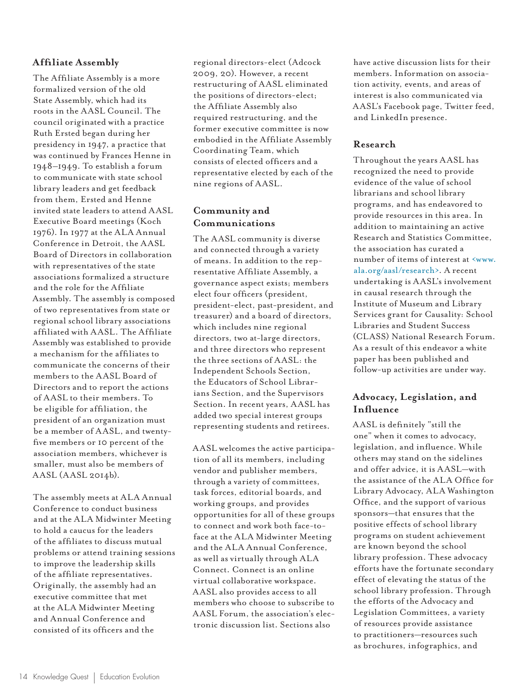#### **Affiliate Assembly**

The Affiliate Assembly is a more formalized version of the old State Assembly, which had its roots in the AASL Council. The council originated with a practice Ruth Ersted began during her presidency in 1947, a practice that was continued by Frances Henne in 1948–1949. To establish a forum to communicate with state school library leaders and get feedback from them, Ersted and Henne invited state leaders to attend AASL Executive Board meetings (Koch 1976). In 1977 at the ALA Annual Conference in Detroit, the AASL Board of Directors in collaboration with representatives of the state associations formalized a structure and the role for the Affiliate Assembly. The assembly is composed of two representatives from state or regional school library associations affiliated with AASL. The Affiliate Assembly was established to provide a mechanism for the affiliates to communicate the concerns of their members to the AASL Board of Directors and to report the actions of AASL to their members. To be eligible for affiliation, the president of an organization must be a member of AASL, and twentyfive members or 10 percent of the association members, whichever is smaller, must also be members of AASL (AASL 2014b).

The assembly meets at ALA Annual Conference to conduct business and at the ALA Midwinter Meeting to hold a caucus for the leaders of the affiliates to discuss mutual problems or attend training sessions to improve the leadership skills of the affiliate representatives. Originally, the assembly had an executive committee that met at the ALA Midwinter Meeting and Annual Conference and consisted of its officers and the

regional directors-elect (Adcock 2009, 20). However, a recent restructuring of AASL eliminated the positions of directors-elect; the Affiliate Assembly also required restructuring, and the former executive committee is now embodied in the Affiliate Assembly Coordinating Team, which consists of elected officers and a representative elected by each of the nine regions of AASL.

# **Community and Communications**

The AASL community is diverse and connected through a variety of means. In addition to the representative Affiliate Assembly, a governance aspect exists; members elect four officers (president, president-elect, past-president, and treasurer) and a board of directors, which includes nine regional directors, two at-large directors, and three directors who represent the three sections of AASL: the Independent Schools Section, the Educators of School Librarians Section, and the Supervisors Section. In recent years, AASL has added two special interest groups representing students and retirees.

AASL welcomes the active participation of all its members, including vendor and publisher members, through a variety of committees, task forces, editorial boards, and working groups, and provides opportunities for all of these groups to connect and work both face-toface at the ALA Midwinter Meeting and the ALA Annual Conference, as well as virtually through ALA Connect. Connect is an online virtual collaborative workspace. AASL also provides access to all members who choose to subscribe to AASL Forum, the association's electronic discussion list. Sections also

have active discussion lists for their members. Information on association activity, events, and areas of interest is also communicated via AASL's Facebook page, Twitter feed, and LinkedIn presence.

#### **Research**

Throughout the years AASL has recognized the need to provide evidence of the value of school librarians and school library programs, and has endeavored to provide resources in this area. In addition to maintaining an active Research and Statistics Committee, the association has curated a number of items of interest at <www. ala.org/aasl/research>. A recent undertaking is AASL's involvement in causal research through the Institute of Museum and Library Services grant for Causality: School Libraries and Student Success (CLASS) National Research Forum. As a result of this endeavor a white paper has been published and follow-up activities are under way.

# **Advocacy, Legislation, and Influence**

AASL is definitely "still the one" when it comes to advocacy, legislation, and influence. While others may stand on the sidelines and offer advice, it is AASL—with the assistance of the ALA Office for Library Advocacy, ALA Washington Office, and the support of various sponsors—that ensures that the positive effects of school library programs on student achievement are known beyond the school library profession. These advocacy efforts have the fortunate secondary effect of elevating the status of the school library profession. Through the efforts of the Advocacy and Legislation Committees, a variety of resources provide assistance to practitioners—resources such as brochures, infographics, and